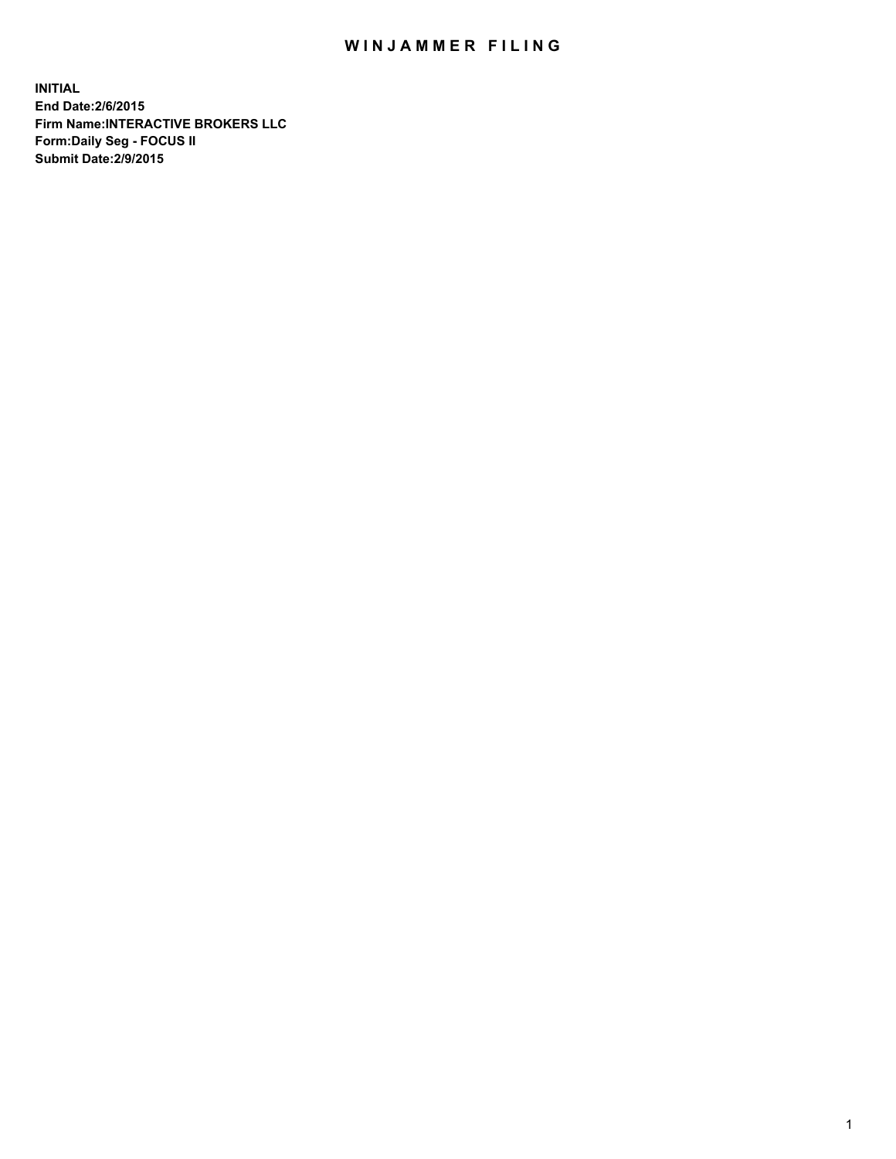## WIN JAMMER FILING

**INITIAL End Date:2/6/2015 Firm Name:INTERACTIVE BROKERS LLC Form:Daily Seg - FOCUS II Submit Date:2/9/2015**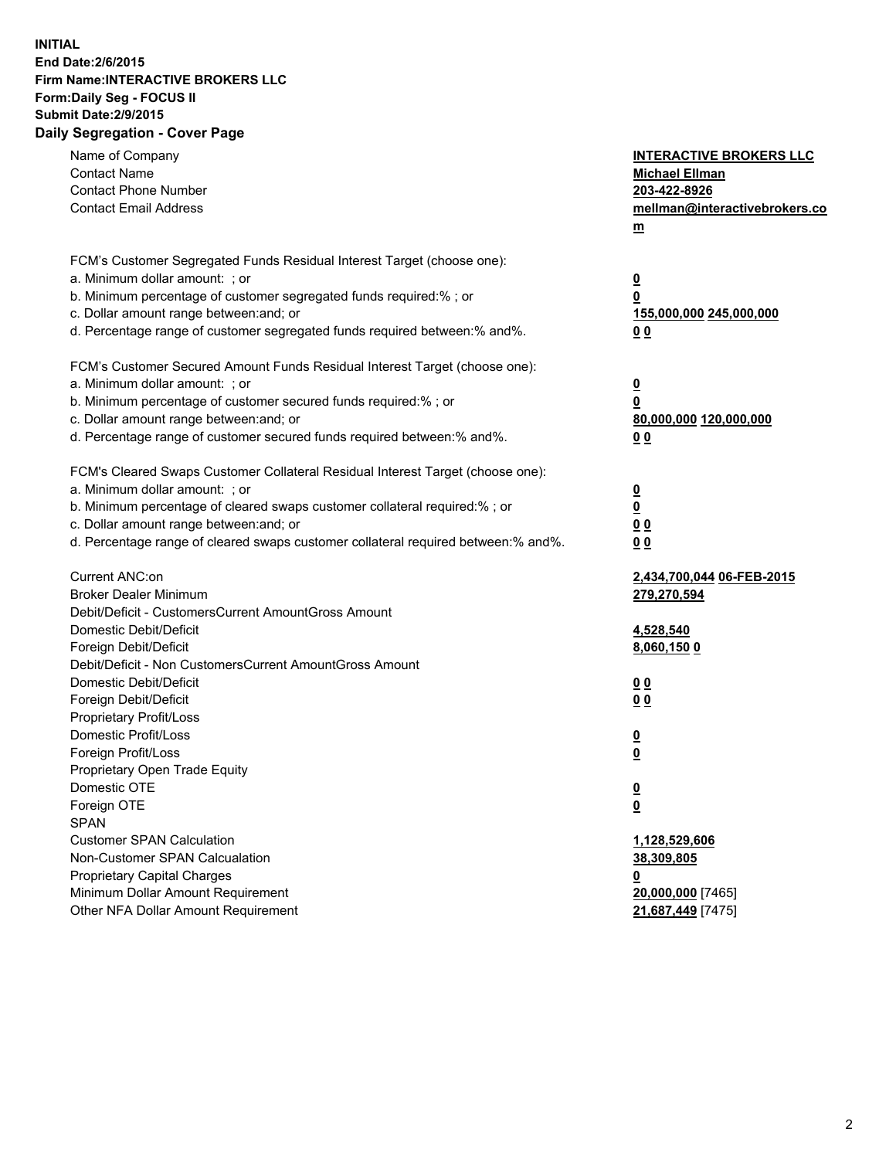## **INITIAL End Date:2/6/2015 Firm Name:INTERACTIVE BROKERS LLC Form:Daily Seg - FOCUS II Submit Date:2/9/2015 Daily Segregation - Cover Page**

| Name of Company<br><b>Contact Name</b><br><b>Contact Phone Number</b><br><b>Contact Email Address</b> | <b>INTERACTIVE BROKERS LLC</b><br><b>Michael Ellman</b><br>203-422-8926<br>mellman@interactivebrokers.co<br>$\underline{\mathbf{m}}$ |
|-------------------------------------------------------------------------------------------------------|--------------------------------------------------------------------------------------------------------------------------------------|
| FCM's Customer Segregated Funds Residual Interest Target (choose one):                                |                                                                                                                                      |
| a. Minimum dollar amount: ; or<br>b. Minimum percentage of customer segregated funds required:% ; or  | $\overline{\mathbf{0}}$<br>0                                                                                                         |
| c. Dollar amount range between: and; or                                                               | 155,000,000 245,000,000                                                                                                              |
| d. Percentage range of customer segregated funds required between:% and%.                             | 00                                                                                                                                   |
| FCM's Customer Secured Amount Funds Residual Interest Target (choose one):                            |                                                                                                                                      |
| a. Minimum dollar amount: ; or                                                                        | $\overline{\mathbf{0}}$                                                                                                              |
| b. Minimum percentage of customer secured funds required:% ; or                                       | 0                                                                                                                                    |
| c. Dollar amount range between: and; or                                                               | 80,000,000 120,000,000                                                                                                               |
| d. Percentage range of customer secured funds required between:% and%.                                | 00                                                                                                                                   |
| FCM's Cleared Swaps Customer Collateral Residual Interest Target (choose one):                        |                                                                                                                                      |
| a. Minimum dollar amount: ; or                                                                        | $\overline{\mathbf{0}}$                                                                                                              |
| b. Minimum percentage of cleared swaps customer collateral required:% ; or                            | $\overline{\mathbf{0}}$                                                                                                              |
| c. Dollar amount range between: and; or                                                               | 0 <sub>0</sub>                                                                                                                       |
| d. Percentage range of cleared swaps customer collateral required between:% and%.                     | 0 <sub>0</sub>                                                                                                                       |
| Current ANC:on                                                                                        | 2,434,700,044 06-FEB-2015                                                                                                            |
| <b>Broker Dealer Minimum</b>                                                                          | 279,270,594                                                                                                                          |
| Debit/Deficit - CustomersCurrent AmountGross Amount                                                   |                                                                                                                                      |
| Domestic Debit/Deficit                                                                                | 4,528,540                                                                                                                            |
| Foreign Debit/Deficit<br>Debit/Deficit - Non CustomersCurrent AmountGross Amount                      | 8,060,150 0                                                                                                                          |
| Domestic Debit/Deficit                                                                                | 0 <sub>0</sub>                                                                                                                       |
| Foreign Debit/Deficit                                                                                 | 0 <sub>0</sub>                                                                                                                       |
| Proprietary Profit/Loss                                                                               |                                                                                                                                      |
| Domestic Profit/Loss                                                                                  | $\overline{\mathbf{0}}$                                                                                                              |
| Foreign Profit/Loss                                                                                   | $\underline{\mathbf{0}}$                                                                                                             |
| Proprietary Open Trade Equity                                                                         |                                                                                                                                      |
| Domestic OTE                                                                                          | <u>0</u>                                                                                                                             |
| Foreign OTE                                                                                           | <u>0</u>                                                                                                                             |
| <b>SPAN</b>                                                                                           |                                                                                                                                      |
| <b>Customer SPAN Calculation</b><br>Non-Customer SPAN Calcualation                                    | 1,128,529,606<br>38,309,805                                                                                                          |
| <b>Proprietary Capital Charges</b>                                                                    |                                                                                                                                      |
| Minimum Dollar Amount Requirement                                                                     | <u>0</u><br>20,000,000 [7465]                                                                                                        |
| Other NFA Dollar Amount Requirement                                                                   | 21,687,449 [7475]                                                                                                                    |
|                                                                                                       |                                                                                                                                      |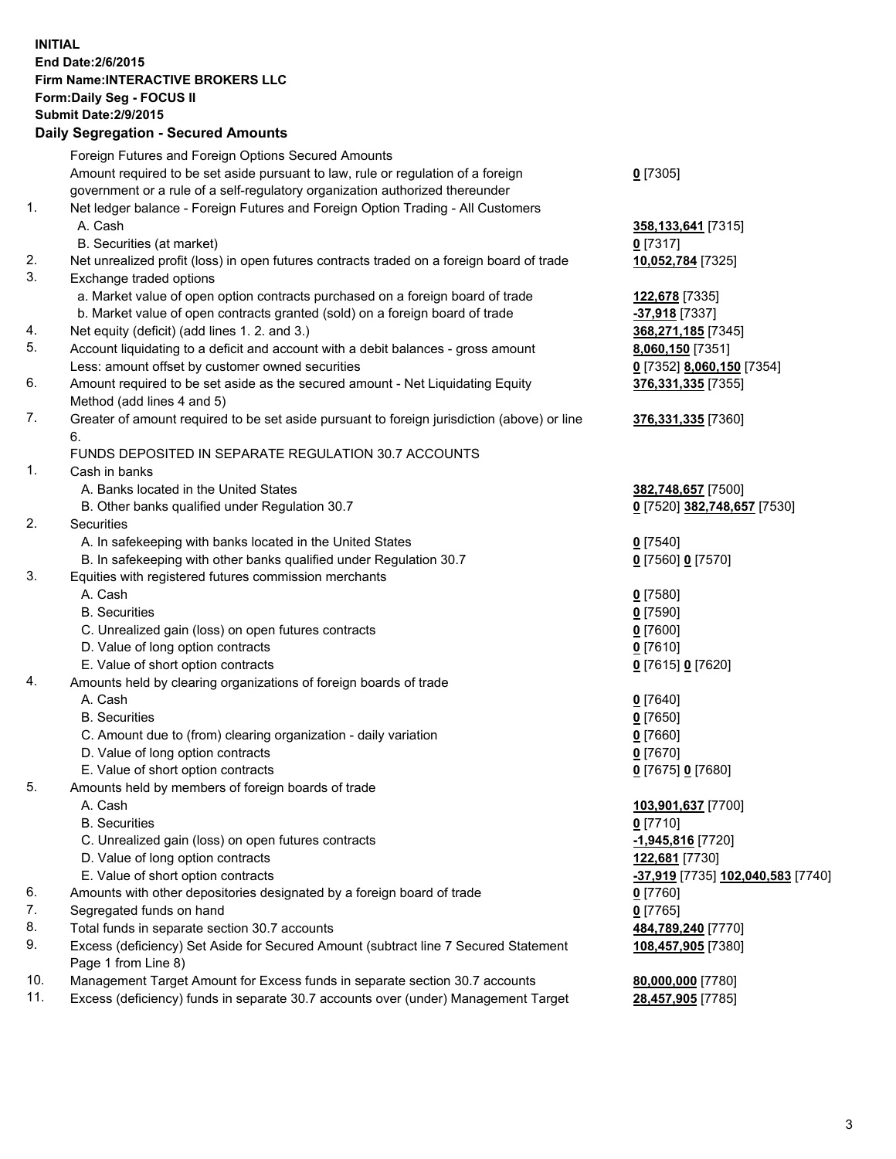## **INITIAL End Date:2/6/2015 Firm Name:INTERACTIVE BROKERS LLC Form:Daily Seg - FOCUS II Submit Date:2/9/2015 Daily Segregation - Secured Amounts**

|     | Dany Ocgregation - Oceanea Annoanta                                                         |                                                |
|-----|---------------------------------------------------------------------------------------------|------------------------------------------------|
|     | Foreign Futures and Foreign Options Secured Amounts                                         |                                                |
|     | Amount required to be set aside pursuant to law, rule or regulation of a foreign            | $0$ [7305]                                     |
|     | government or a rule of a self-regulatory organization authorized thereunder                |                                                |
| 1.  | Net ledger balance - Foreign Futures and Foreign Option Trading - All Customers             |                                                |
|     | A. Cash                                                                                     | 358, 133, 641 [7315]                           |
|     | B. Securities (at market)                                                                   | $0$ [7317]                                     |
| 2.  | Net unrealized profit (loss) in open futures contracts traded on a foreign board of trade   | 10,052,784 [7325]                              |
| 3.  | Exchange traded options                                                                     |                                                |
|     | a. Market value of open option contracts purchased on a foreign board of trade              | 122,678 [7335]                                 |
|     | b. Market value of open contracts granted (sold) on a foreign board of trade                | -37,918 [7337]                                 |
| 4.  | Net equity (deficit) (add lines 1. 2. and 3.)                                               | 368,271,185 [7345]                             |
| 5.  | Account liquidating to a deficit and account with a debit balances - gross amount           | 8,060,150 [7351]                               |
|     | Less: amount offset by customer owned securities                                            | 0 [7352] 8,060,150 [7354]                      |
| 6.  | Amount required to be set aside as the secured amount - Net Liquidating Equity              | 376,331,335 [7355]                             |
|     | Method (add lines 4 and 5)                                                                  |                                                |
| 7.  | Greater of amount required to be set aside pursuant to foreign jurisdiction (above) or line | 376,331,335 [7360]                             |
|     | 6.                                                                                          |                                                |
|     | FUNDS DEPOSITED IN SEPARATE REGULATION 30.7 ACCOUNTS                                        |                                                |
| 1.  | Cash in banks                                                                               |                                                |
|     | A. Banks located in the United States                                                       | 382,748,657 [7500]                             |
|     | B. Other banks qualified under Regulation 30.7                                              | 0 [7520] 382,748,657 [7530]                    |
| 2.  | Securities                                                                                  |                                                |
|     | A. In safekeeping with banks located in the United States                                   | $0$ [7540]                                     |
|     | B. In safekeeping with other banks qualified under Regulation 30.7                          | 0 [7560] 0 [7570]                              |
| 3.  | Equities with registered futures commission merchants                                       |                                                |
|     | A. Cash                                                                                     | $0$ [7580]                                     |
|     | <b>B.</b> Securities                                                                        | $0$ [7590]                                     |
|     | C. Unrealized gain (loss) on open futures contracts                                         | $0$ [7600]                                     |
|     | D. Value of long option contracts                                                           | $0$ [7610]                                     |
|     | E. Value of short option contracts                                                          | 0 [7615] 0 [7620]                              |
| 4.  | Amounts held by clearing organizations of foreign boards of trade                           |                                                |
|     | A. Cash                                                                                     | $0$ [7640]                                     |
|     | <b>B.</b> Securities                                                                        | $0$ [7650]                                     |
|     | C. Amount due to (from) clearing organization - daily variation                             | $0$ [7660]                                     |
|     | D. Value of long option contracts                                                           | $0$ [7670]                                     |
|     | E. Value of short option contracts                                                          | 0 [7675] 0 [7680]                              |
| 5.  | Amounts held by members of foreign boards of trade                                          |                                                |
|     | A. Cash                                                                                     | 103,901,637 [7700]                             |
|     | <b>B.</b> Securities                                                                        | $0$ [7710]                                     |
|     | C. Unrealized gain (loss) on open futures contracts                                         | -1,945,816 [7720]                              |
|     | D. Value of long option contracts                                                           | 122,681 [7730]                                 |
|     | E. Value of short option contracts                                                          | <mark>-37,919</mark> [7735] 102,040,583 [7740] |
| 6.  | Amounts with other depositories designated by a foreign board of trade                      | $0$ [7760]                                     |
| 7.  | Segregated funds on hand                                                                    | $0$ [7765]                                     |
| 8.  | Total funds in separate section 30.7 accounts                                               | 484,789,240 [7770]                             |
| 9.  | Excess (deficiency) Set Aside for Secured Amount (subtract line 7 Secured Statement         | 108,457,905 [7380]                             |
|     | Page 1 from Line 8)                                                                         |                                                |
| 10. | Management Target Amount for Excess funds in separate section 30.7 accounts                 | 80,000,000 [7780]                              |
| 11. | Excess (deficiency) funds in separate 30.7 accounts over (under) Management Target          | 28,457,905 [7785]                              |
|     |                                                                                             |                                                |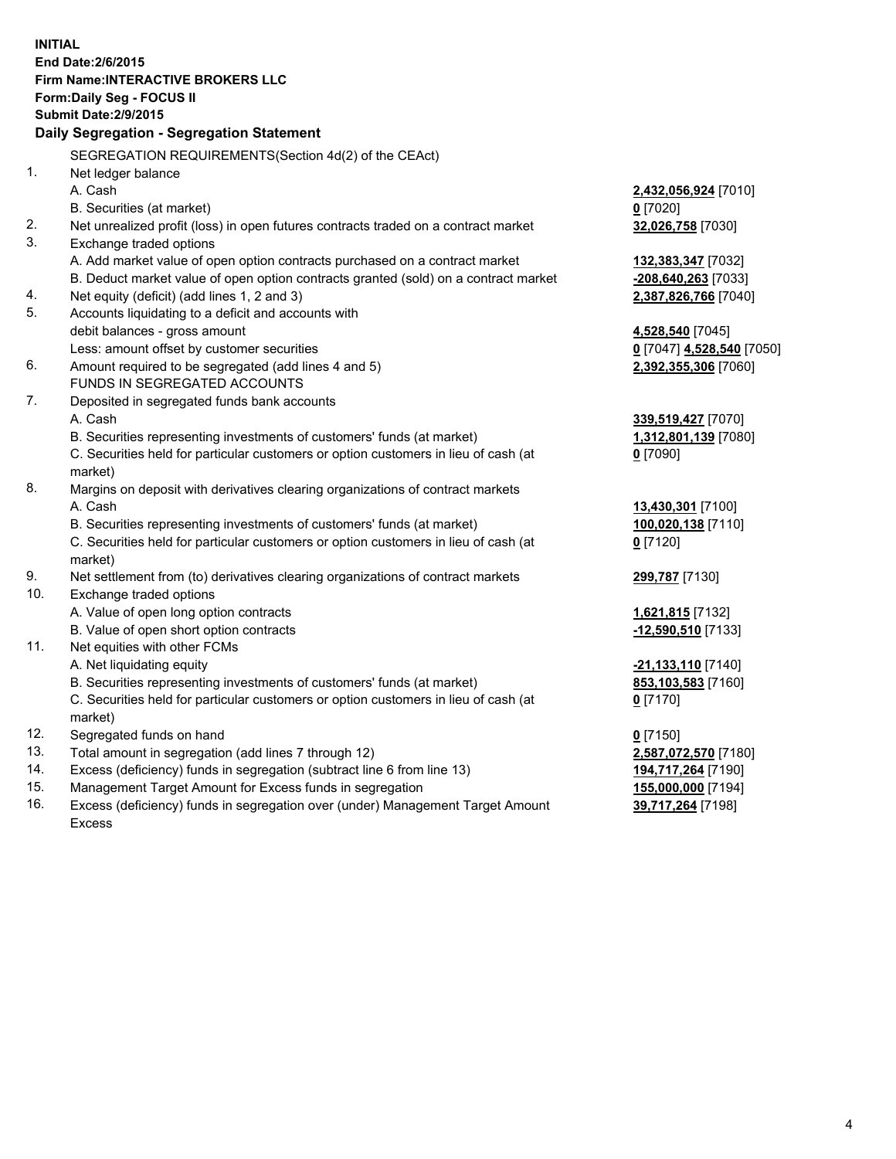**INITIAL End Date:2/6/2015 Firm Name:INTERACTIVE BROKERS LLC Form:Daily Seg - FOCUS II Submit Date:2/9/2015 Daily Segregation - Segregation Statement** SEGREGATION REQUIREMENTS(Section 4d(2) of the CEAct) 1. Net ledger balance A. Cash **2,432,056,924** [7010] B. Securities (at market) **0** [7020] 2. Net unrealized profit (loss) in open futures contracts traded on a contract market **32,026,758** [7030] 3. Exchange traded options A. Add market value of open option contracts purchased on a contract market **132,383,347** [7032] B. Deduct market value of open option contracts granted (sold) on a contract market **-208,640,263** [7033] 4. Net equity (deficit) (add lines 1, 2 and 3) **2,387,826,766** [7040] 5. Accounts liquidating to a deficit and accounts with debit balances - gross amount **4,528,540** [7045] Less: amount offset by customer securities **0** [7047] **4,528,540** [7050] 6. Amount required to be segregated (add lines 4 and 5) **2,392,355,306** [7060] FUNDS IN SEGREGATED ACCOUNTS 7. Deposited in segregated funds bank accounts A. Cash **339,519,427** [7070] B. Securities representing investments of customers' funds (at market) **1,312,801,139** [7080] C. Securities held for particular customers or option customers in lieu of cash (at market) **0** [7090] 8. Margins on deposit with derivatives clearing organizations of contract markets A. Cash **13,430,301** [7100] B. Securities representing investments of customers' funds (at market) **100,020,138** [7110] C. Securities held for particular customers or option customers in lieu of cash (at market) **0** [7120] 9. Net settlement from (to) derivatives clearing organizations of contract markets **299,787** [7130] 10. Exchange traded options A. Value of open long option contracts **1,621,815** [7132] B. Value of open short option contracts **-12,590,510** [7133] 11. Net equities with other FCMs A. Net liquidating equity **-21,133,110** [7140] B. Securities representing investments of customers' funds (at market) **853,103,583** [7160] C. Securities held for particular customers or option customers in lieu of cash (at market) **0** [7170] 12. Segregated funds on hand **0** [7150] 13. Total amount in segregation (add lines 7 through 12) **2,587,072,570** [7180] 14. Excess (deficiency) funds in segregation (subtract line 6 from line 13) **194,717,264** [7190] 15. Management Target Amount for Excess funds in segregation **155,000,000** [7194]

16. Excess (deficiency) funds in segregation over (under) Management Target Amount Excess

**39,717,264** [7198]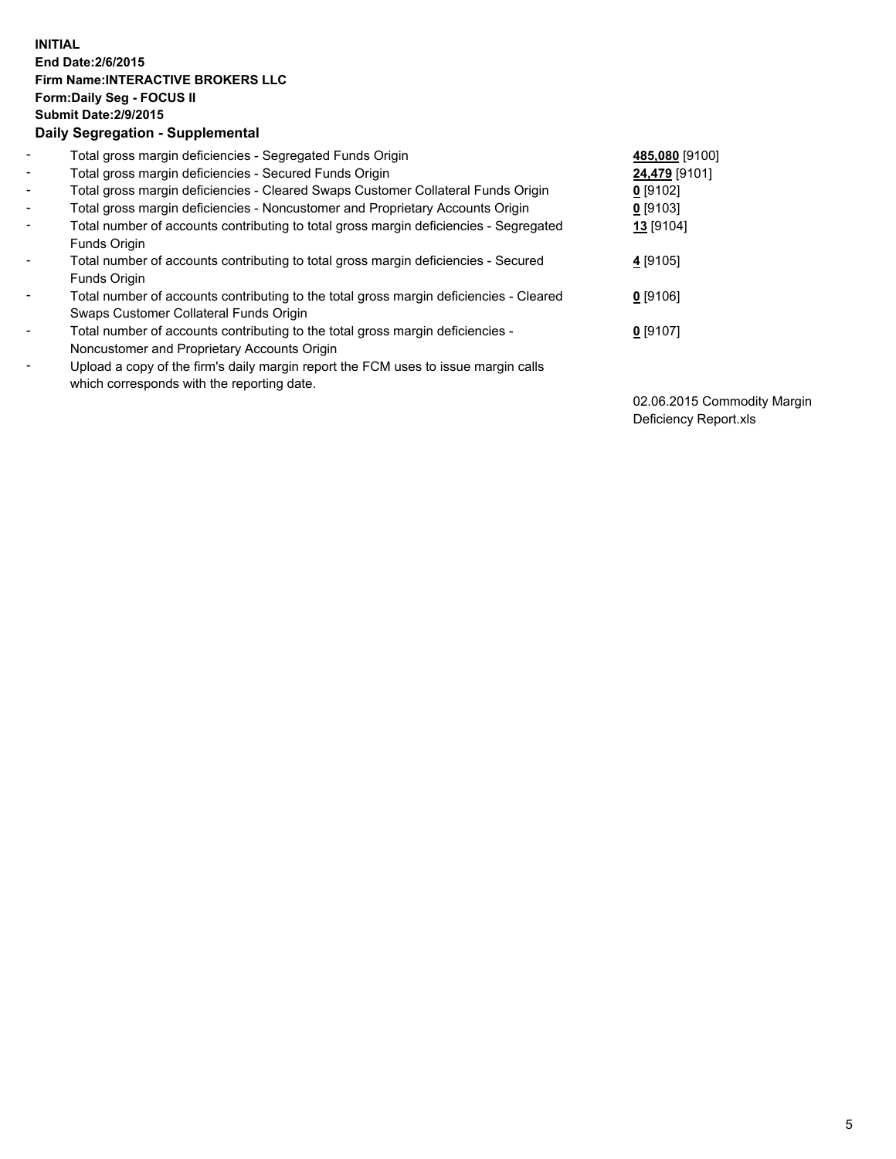## **INITIAL End Date:2/6/2015 Firm Name:INTERACTIVE BROKERS LLC Form:Daily Seg - FOCUS II Submit Date:2/9/2015 Daily Segregation - Supplemental**

| $\blacksquare$ | Total gross margin deficiencies - Segregated Funds Origin                              | 485,080 [9100] |
|----------------|----------------------------------------------------------------------------------------|----------------|
| $\sim$         | Total gross margin deficiencies - Secured Funds Origin                                 | 24,479 [9101]  |
| $\blacksquare$ | Total gross margin deficiencies - Cleared Swaps Customer Collateral Funds Origin       | $0$ [9102]     |
| $\blacksquare$ | Total gross margin deficiencies - Noncustomer and Proprietary Accounts Origin          | $0$ [9103]     |
| $\blacksquare$ | Total number of accounts contributing to total gross margin deficiencies - Segregated  | 13 [9104]      |
|                | Funds Origin                                                                           |                |
| $\blacksquare$ | Total number of accounts contributing to total gross margin deficiencies - Secured     | 4 [9105]       |
|                | Funds Origin                                                                           |                |
| $\blacksquare$ | Total number of accounts contributing to the total gross margin deficiencies - Cleared | 0 [9106]       |
|                | Swaps Customer Collateral Funds Origin                                                 |                |
| $\blacksquare$ | Total number of accounts contributing to the total gross margin deficiencies -         | $0$ [9107]     |
|                | Noncustomer and Proprietary Accounts Origin                                            |                |
| ۰              | Upload a copy of the firm's daily margin report the FCM uses to issue margin calls     |                |
|                | which corresponds with the reporting date.                                             |                |

02.06.2015 Commodity Margin Deficiency Report.xls